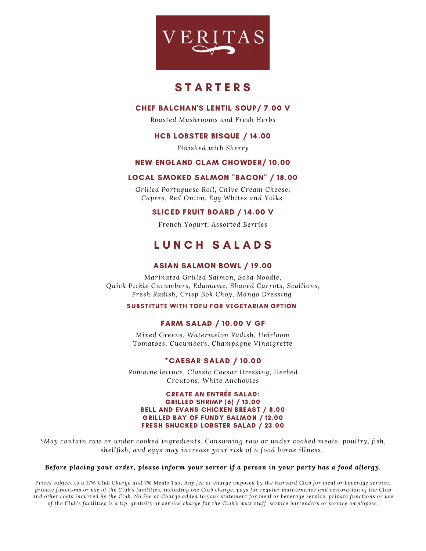

## **STARTERS**

## CHEF BALCHAN'S LENTIL SOUP/ 7.00 V

*Roasted Mushrooms and Fresh Herbs*

## HCB LOBSTER BISQUE / 14.00

*Finished with Sherry*

## NEW ENGLAND CLAM CHOWDER/ 10.00

## LOCAL SMOKED SALMON "BACON" / 18.00

*Grilled Portuguese Roll, Chive Cream Cheese, Capers, Red Onion, Egg Whites and Yolks*

## SLICED FRUIT BOARD / 14.00 V

*French Yogurt, Assorted Berries*

# L U N C H S A L A D S

## ASIAN SALMON BOWL / 19.00

*Marinated Grilled Salmon, Soba Noodle, Quick Pickle Cucumbers, Edamame, Shaved Carrots, Scallions, Fresh Radish, Crisp Bok Choy, Mango Dressing*

#### SUBSTITUTE WITH TOFU FOR VEGETARIAN OPTION

## FARM SALAD / 10.00 V GF

*Mixed Greens, Watermelon Radish, Heirloom Tomatoes, Cucumbers, Champagne Vinaigrette*

## \*CAESAR SALAD / 10.00

*Romaine lettuce, Classic Caesar Dressing, Herbed Croutons, White Anchovies*

#### CREATE AN ENTRÉE SALAD: GRILLED SHRIMP (6) / 13.00 BELL AND EVANS CHICKEN BREAST / 8.00 GRILLED BAY OF FUNDY SALMON / 12.00 FRESH SHUCKED LOBSTER SALAD / 23.00

*\*May contain raw or under cooked ingredients. Consuming raw or under cooked meats, poultry, fish, shellfish, and eggs may increase your risk of a food borne illness.*

#### *Before placing your order, please inform your server if a person in your party has a food allergy.*

Prices subject to a 17% Club Charge and 7% Meals Tax. Any fee or charge imposed by the Harvard Club for meal or beverage service, private functions or use of the Club's facilities, including the Club charge, pays for regular maintenance and restoration of the Club and other costs incurred by the Club. No Fee or Charge added to your statement for meal or beverage service, private functions or use of the Club's facilities is a tip, gratuity or service charge for the Club's wait staff, service bartenders or service employees.